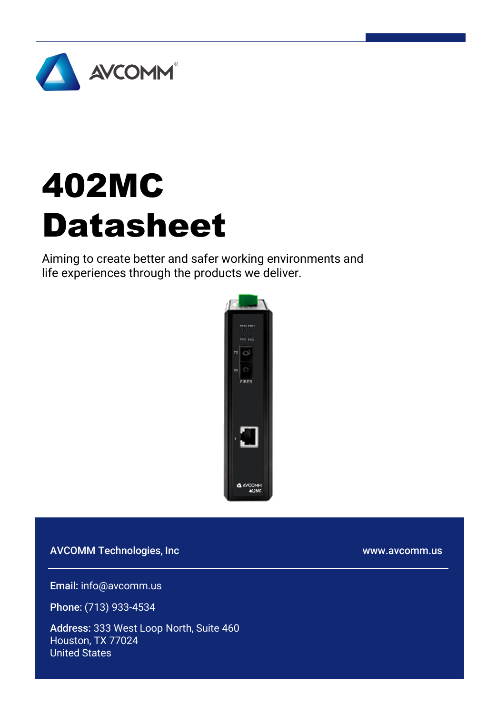

# 402MC Datasheet

Aiming to create better and safer working environments and life experiences through the products we deliver.



AVCOMM Technologies, Inc

www.avcomm.us

Email: info@avcomm.us

Phone: (713) 933-4534

Address: 333 West Loop North, Suite 460 Houston, TX 77024 United States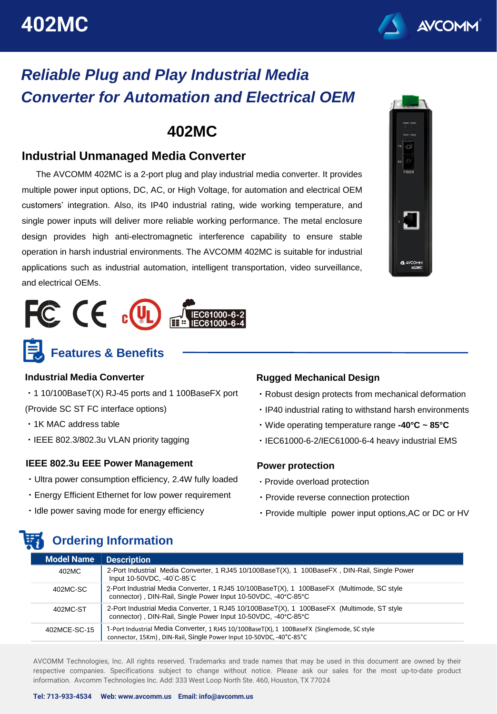

### *Reliable Plug and Play Industrial Media Converter for Automation and Electrical OEM*

### **402MC**

#### **Industrial Unmanaged Media Converter**

The AVCOMM 402MC is a 2-port plug and play industrial media converter. It provides multiple power input options, DC, AC, or High Voltage, for automation and electrical OEM customers' integration. Also, its IP40 industrial rating, wide working temperature, and single power inputs will deliver more reliable working performance. The metal enclosure design provides high anti-electromagnetic interference capability to ensure stable operation in harsh industrial environments. The AVCOMM 402MC is suitable for industrial applications such as industrial automation, intelligent transportation, video surveillance, and electrical OEMs.





**Features & Benefits**

#### **Industrial Media Converter**

・1 10/100BaseT(X) RJ-45 ports and 1 100BaseFX port

(Provide SC ST FC interface options)

- ・1K MAC address table
- ・IEEE 802.3/802.3u VLAN priority tagging

#### **IEEE 802.3u EEE Power Management**

- ・Ultra power consumption efficiency, 2.4W fully loaded
- ・Energy Efficient Ethernet for low power requirement
- ・Idle power saving mode for energy efficiency

**Ordering Information**

#### **Rugged Mechanical Design**

- ・Robust design protects from mechanical deformation
- ・IP40 industrial rating to withstand harsh environments
- ・Wide operating temperature range **-40°C ~ 85°C**
- ・IEC61000-6-2/IEC61000-6-4 heavy industrial EMS

#### **Power protection**

- ・Provide overload protection
- ・Provide reverse connection protection
- ・Provide multiple power input options,AC or DC or HV

| <b>Model Name</b> | <b>Description</b>                                                                                                                                                 |
|-------------------|--------------------------------------------------------------------------------------------------------------------------------------------------------------------|
| 402MC             | 2-Port Industrial Media Converter, 1 RJ45 10/100BaseT(X), 1 100BaseFX, DIN-Rail, Single Power<br>Input 10-50VDC, -40°C-85°C                                        |
| 402MC-SC          | 2-Port Industrial Media Converter, 1 RJ45 10/100BaseT(X), 1 100BaseFX (Multimode, SC style<br>connector), DIN-Rail, Single Power Input 10-50VDC, -40°C-85°C        |
| 402MC-ST          | 2-Port Industrial Media Converter, 1 RJ45 10/100BaseT(X), 1 100BaseFX (Multimode, ST style<br>connector), DIN-Rail, Single Power Input 10-50VDC, -40°C-85°C        |
| 402MCE-SC-15      | 1-Port Industrial Media Converter, 1 RJ45 10/100BaseT(X), 1 100BaseFX (Singlemode, SC style<br>connector, 15Km), DIN-Rail, Single Power Input 10-50VDC, -40°C-85°C |

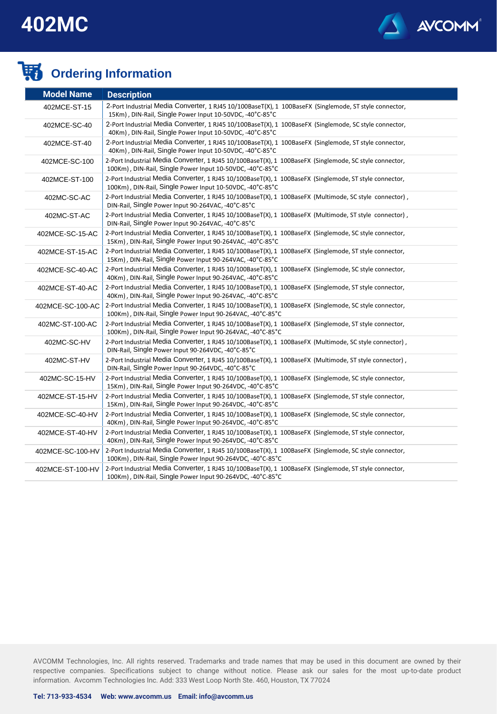

### **Condering Information**

| <b>Model Name</b> | <b>Description</b>                                                                                                                                                   |
|-------------------|----------------------------------------------------------------------------------------------------------------------------------------------------------------------|
| 402MCE-ST-15      | 2-Port Industrial Media Converter, 1 RJ45 10/100BaseT(X), 1 100BaseFX (Singlemode, ST style connector,<br>15Km), DIN-Rail, Single Power Input 10-50VDC, -40°C-85°C   |
| 402MCE-SC-40      | 2-Port Industrial Media Converter, 1 RJ45 10/100BaseT(X), 1 100BaseFX (Singlemode, SC style connector,<br>40Km), DIN-Rail, Single Power Input 10-50VDC, -40°C-85°C   |
| 402MCE-ST-40      | 2-Port Industrial Media Converter, 1 RJ45 10/100BaseT(X), 1 100BaseFX (Singlemode, ST style connector,<br>40Km), DIN-Rail, Single Power Input 10-50VDC, -40°C-85°C   |
| 402MCE-SC-100     | 2-Port Industrial Media Converter, 1 RJ45 10/100BaseT(X), 1 100BaseFX (Singlemode, SC style connector,<br>100Km), DIN-Rail, Single Power Input 10-50VDC, -40°C-85°C  |
| 402MCE-ST-100     | 2-Port Industrial Media Converter, 1 RJ45 10/100BaseT(X), 1 100BaseFX (Singlemode, ST style connector,<br>100Km), DIN-Rail, Single Power Input 10-50VDC, -40°C-85°C  |
| 402MC-SC-AC       | 2-Port Industrial Media Converter, 1 RJ45 10/100BaseT(X), 1 100BaseFX (Multimode, SC style connector),<br>DIN-Rail, Single Power Input 90-264VAC, -40°C-85°C         |
| 402MC-ST-AC       | 2-Port Industrial Media Converter, 1 RJ45 10/100BaseT(X), 1 100BaseFX (Multimode, ST style connector),<br>DIN-Rail, Single Power Input 90-264VAC, -40°C-85°C         |
| 402MCE-SC-15-AC   | 2-Port Industrial Media Converter, 1 RJ45 10/100BaseT(X), 1 100BaseFX (Singlemode, SC style connector,<br>15Km), DIN-Rail, Single Power Input 90-264VAC, -40°C-85°C  |
| 402MCE-ST-15-AC   | 2-Port Industrial Media Converter, 1 RJ45 10/100BaseT(X), 1 100BaseFX (Singlemode, ST style connector,<br>15Km), DIN-Rail, Single Power Input 90-264VAC, -40°C-85°C  |
| 402MCE-SC-40-AC   | 2-Port Industrial Media Converter, 1 RJ45 10/100BaseT(X), 1 100BaseFX (Singlemode, SC style connector,<br>40Km), DIN-Rail, Single Power Input 90-264VAC, -40°C-85°C  |
| 402MCE-ST-40-AC   | 2-Port Industrial Media Converter, 1 RJ45 10/100BaseT(X), 1 100BaseFX (Singlemode, ST style connector,<br>40Km), DIN-Rail, Single Power Input 90-264VAC, -40°C-85°C  |
| 402MCE-SC-100-AC  | 2-Port Industrial Media Converter, 1 RJ45 10/100BaseT(X), 1 100BaseFX (Singlemode, SC style connector,<br>100Km), DIN-Rail, Single Power Input 90-264VAC, -40°C-85°C |
| 402MC-ST-100-AC   | 2-Port Industrial Media Converter, 1 RJ45 10/100BaseT(X), 1 100BaseFX (Singlemode, ST style connector,<br>100Km), DIN-Rail, Single Power Input 90-264VAC, -40°C-85°C |
| 402MC-SC-HV       | 2-Port Industrial Media Converter, 1 RJ45 10/100BaseT(X), 1 100BaseFX (Multimode, SC style connector),<br>DIN-Rail, Single Power Input 90-264VDC, -40°C-85°C         |
| 402MC-ST-HV       | 2-Port Industrial Media Converter, 1 RJ45 10/100BaseT(X), 1 100BaseFX (Multimode, ST style connector),<br>DIN-Rail, Single Power Input 90-264VDC, -40°C-85°C         |
| 402MC-SC-15-HV    | 2-Port Industrial Media Converter, 1 RJ45 10/100BaseT(X), 1 100BaseFX (Singlemode, SC style connector,<br>15Km), DIN-Rail, Single Power Input 90-264VDC, -40°C-85°C  |
| 402MCE-ST-15-HV   | 2-Port Industrial Media Converter, 1 RJ45 10/100BaseT(X), 1 100BaseFX (Singlemode, ST style connector,<br>15Km), DIN-Rail, Single Power Input 90-264VDC, -40°C-85°C  |
| 402MCE-SC-40-HV   | 2-Port Industrial Media Converter, 1 RJ45 10/100BaseT(X), 1 100BaseFX (Singlemode, SC style connector,<br>40Km), DIN-Rail, Single Power Input 90-264VDC, -40°C-85°C  |
| 402MCE-ST-40-HV   | 2-Port Industrial Media Converter, 1 RJ45 10/100BaseT(X), 1 100BaseFX (Singlemode, ST style connector,<br>40Km), DIN-Rail, Single Power Input 90-264VDC, -40°C-85°C  |
| 402MCE-SC-100-HV  | 2-Port Industrial Media Converter, 1 RJ45 10/100BaseT(X), 1 100BaseFX (Singlemode, SC style connector,<br>100Km), DIN-Rail, Single Power Input 90-264VDC, -40°C-85°C |
| 402MCE-ST-100-HV  | 2-Port Industrial Media Converter, 1 RJ45 10/100BaseT(X), 1 100BaseFX (Singlemode, ST style connector,<br>100Km), DIN-Rail, Single Power Input 90-264VDC, -40°C-85°C |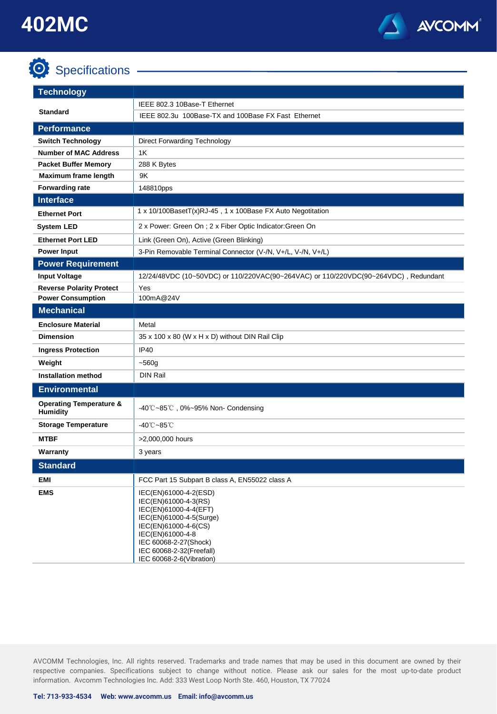## **O** Specifications -



| <b>Technology</b>                                     |                                                                                                                                                                                                                                |  |
|-------------------------------------------------------|--------------------------------------------------------------------------------------------------------------------------------------------------------------------------------------------------------------------------------|--|
| IEEE 802.3 10Base-T Ethernet                          |                                                                                                                                                                                                                                |  |
| <b>Standard</b>                                       | IEEE 802.3u 100Base-TX and 100Base FX Fast Ethernet                                                                                                                                                                            |  |
| <b>Performance</b>                                    |                                                                                                                                                                                                                                |  |
| <b>Switch Technology</b>                              | <b>Direct Forwarding Technology</b>                                                                                                                                                                                            |  |
| <b>Number of MAC Address</b>                          | 1K                                                                                                                                                                                                                             |  |
| <b>Packet Buffer Memory</b>                           | 288 K Bytes                                                                                                                                                                                                                    |  |
| <b>Maximum frame length</b>                           | 9K                                                                                                                                                                                                                             |  |
| <b>Forwarding rate</b>                                | 148810pps                                                                                                                                                                                                                      |  |
| <b>Interface</b>                                      |                                                                                                                                                                                                                                |  |
| <b>Ethernet Port</b>                                  | 1 x 10/100BasetT(x)RJ-45, 1 x 100Base FX Auto Negotitation                                                                                                                                                                     |  |
| <b>System LED</b>                                     | 2 x Power: Green On ; 2 x Fiber Optic Indicator: Green On                                                                                                                                                                      |  |
| <b>Ethernet Port LED</b>                              | Link (Green On), Active (Green Blinking)                                                                                                                                                                                       |  |
| <b>Power Input</b>                                    | 3-Pin Removable Terminal Connector (V-/N, V+/L, V-/N, V+/L)                                                                                                                                                                    |  |
| <b>Power Requirement</b>                              |                                                                                                                                                                                                                                |  |
| <b>Input Voltage</b>                                  | 12/24/48VDC (10~50VDC) or 110/220VAC(90~264VAC) or 110/220VDC(90~264VDC), Redundant                                                                                                                                            |  |
| <b>Reverse Polarity Protect</b>                       | Yes                                                                                                                                                                                                                            |  |
| <b>Power Consumption</b>                              | 100mA@24V                                                                                                                                                                                                                      |  |
| <b>Mechanical</b>                                     |                                                                                                                                                                                                                                |  |
| <b>Enclosure Material</b>                             | Metal                                                                                                                                                                                                                          |  |
| <b>Dimension</b>                                      | 35 x 100 x 80 (W x H x D) without DIN Rail Clip                                                                                                                                                                                |  |
| <b>Ingress Protection</b>                             | IP40                                                                                                                                                                                                                           |  |
| Weight                                                | $-560g$                                                                                                                                                                                                                        |  |
| <b>Installation method</b>                            | <b>DIN Rail</b>                                                                                                                                                                                                                |  |
| <b>Environmental</b>                                  |                                                                                                                                                                                                                                |  |
| <b>Operating Temperature &amp;</b><br><b>Humidity</b> | $-40^{\circ}$ C $-85^{\circ}$ C, 0% $-95%$ Non-Condensing                                                                                                                                                                      |  |
| <b>Storage Temperature</b>                            | -40℃~85℃                                                                                                                                                                                                                       |  |
| <b>MTBF</b>                                           | >2,000,000 hours                                                                                                                                                                                                               |  |
| Warranty                                              | 3 years                                                                                                                                                                                                                        |  |
| <b>Standard</b>                                       |                                                                                                                                                                                                                                |  |
| EMI                                                   | FCC Part 15 Subpart B class A, EN55022 class A                                                                                                                                                                                 |  |
| <b>EMS</b>                                            | IEC(EN)61000-4-2(ESD)<br>IEC(EN)61000-4-3(RS)<br>IEC(EN)61000-4-4(EFT)<br>IEC(EN)61000-4-5(Surge)<br>IEC(EN)61000-4-6(CS)<br>IEC(EN)61000-4-8<br>IEC 60068-2-27(Shock)<br>IEC 60068-2-32(Freefall)<br>IEC 60068-2-6(Vibration) |  |